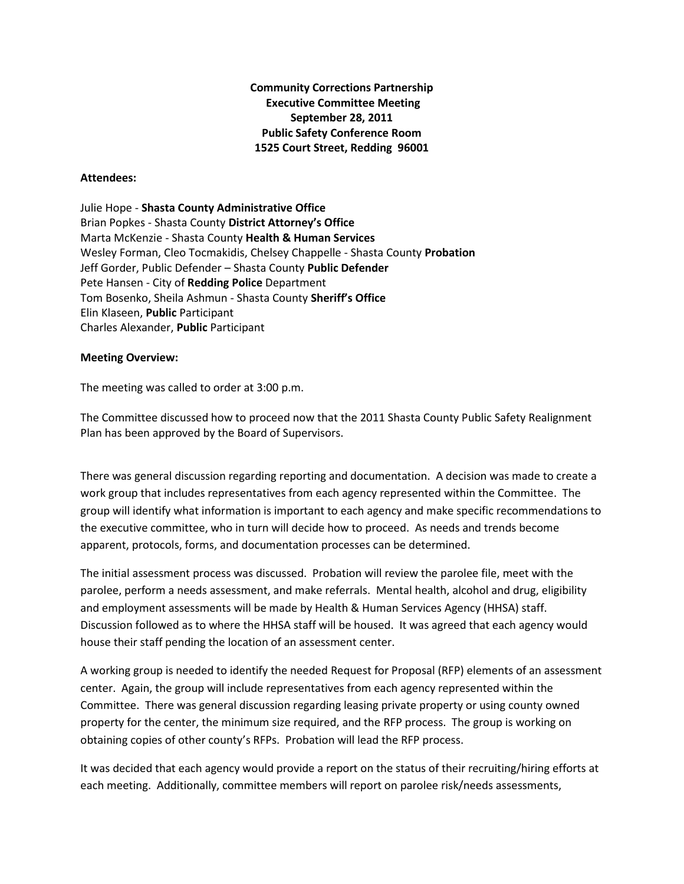**Community Corrections Partnership Executive Committee Meeting September 28, 2011 Public Safety Conference Room 1525 Court Street, Redding 96001**

## **Attendees:**

Julie Hope - **Shasta County Administrative Office** Brian Popkes - Shasta County **District Attorney's Office** Marta McKenzie - Shasta County **Health & Human Services** Wesley Forman, Cleo Tocmakidis, Chelsey Chappelle - Shasta County **Probation** Jeff Gorder, Public Defender – Shasta County **Public Defender** Pete Hansen - City of **Redding Police** Department Tom Bosenko, Sheila Ashmun - Shasta County **Sheriff's Office** Elin Klaseen, **Public** Participant Charles Alexander, **Public** Participant

## **Meeting Overview:**

The meeting was called to order at 3:00 p.m.

The Committee discussed how to proceed now that the 2011 Shasta County Public Safety Realignment Plan has been approved by the Board of Supervisors.

There was general discussion regarding reporting and documentation. A decision was made to create a work group that includes representatives from each agency represented within the Committee. The group will identify what information is important to each agency and make specific recommendations to the executive committee, who in turn will decide how to proceed. As needs and trends become apparent, protocols, forms, and documentation processes can be determined.

The initial assessment process was discussed. Probation will review the parolee file, meet with the parolee, perform a needs assessment, and make referrals. Mental health, alcohol and drug, eligibility and employment assessments will be made by Health & Human Services Agency (HHSA) staff. Discussion followed as to where the HHSA staff will be housed. It was agreed that each agency would house their staff pending the location of an assessment center.

A working group is needed to identify the needed Request for Proposal (RFP) elements of an assessment center. Again, the group will include representatives from each agency represented within the Committee. There was general discussion regarding leasing private property or using county owned property for the center, the minimum size required, and the RFP process. The group is working on obtaining copies of other county's RFPs. Probation will lead the RFP process.

It was decided that each agency would provide a report on the status of their recruiting/hiring efforts at each meeting. Additionally, committee members will report on parolee risk/needs assessments,